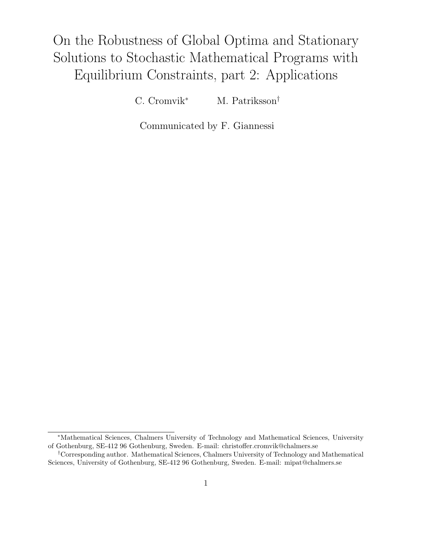# On the Robustness of Global Optima and Stationary Solutions to Stochastic Mathematical Programs with Equilibrium Constraints, part 2: Applications

C. Cromvik<sup>∗</sup> M. Patriksson†

Communicated by F. Giannessi

<sup>∗</sup>Mathematical Sciences, Chalmers University of Technology and Mathematical Sciences, University of Gothenburg, SE-412 96 Gothenburg, Sweden. E-mail: christoffer.cromvik@chalmers.se

<sup>†</sup>Corresponding author. Mathematical Sciences, Chalmers University of Technology and Mathematical Sciences, University of Gothenburg, SE-412 96 Gothenburg, Sweden. E-mail: mipat@chalmers.se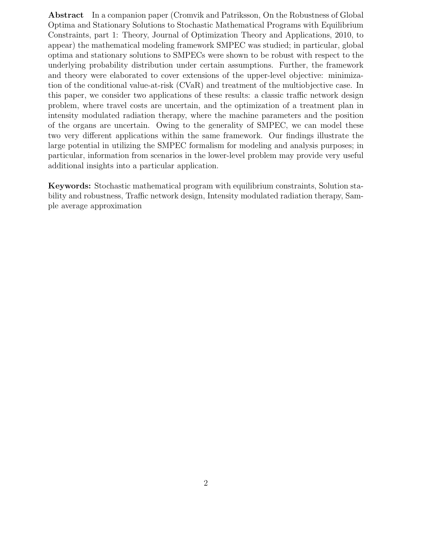Abstract In a companion paper (Cromvik and Patriksson, On the Robustness of Global Optima and Stationary Solutions to Stochastic Mathematical Programs with Equilibrium Constraints, part 1: Theory, Journal of Optimization Theory and Applications, 2010, to appear) the mathematical modeling framework SMPEC was studied; in particular, global optima and stationary solutions to SMPECs were shown to be robust with respect to the underlying probability distribution under certain assumptions. Further, the framework and theory were elaborated to cover extensions of the upper-level objective: minimization of the conditional value-at-risk (CVaR) and treatment of the multiobjective case. In this paper, we consider two applications of these results: a classic traffic network design problem, where travel costs are uncertain, and the optimization of a treatment plan in intensity modulated radiation therapy, where the machine parameters and the position of the organs are uncertain. Owing to the generality of SMPEC, we can model these two very different applications within the same framework. Our findings illustrate the large potential in utilizing the SMPEC formalism for modeling and analysis purposes; in particular, information from scenarios in the lower-level problem may provide very useful additional insights into a particular application.

Keywords: Stochastic mathematical program with equilibrium constraints, Solution stability and robustness, Traffic network design, Intensity modulated radiation therapy, Sample average approximation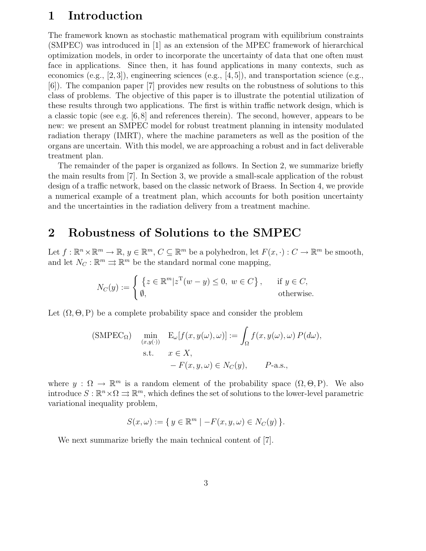### 1 Introduction

The framework known as stochastic mathematical program with equilibrium constraints (SMPEC) was introduced in [1] as an extension of the MPEC framework of hierarchical optimization models, in order to incorporate the uncertainty of data that one often must face in applications. Since then, it has found applications in many contexts, such as economics (e.g.,  $[2,3]$ ), engineering sciences (e.g.,  $[4,5]$ ), and transportation science (e.g., [6]). The companion paper [7] provides new results on the robustness of solutions to this class of problems. The objective of this paper is to illustrate the potential utilization of these results through two applications. The first is within traffic network design, which is a classic topic (see e.g. [6,8] and references therein). The second, however, appears to be new: we present an SMPEC model for robust treatment planning in intensity modulated radiation therapy (IMRT), where the machine parameters as well as the position of the organs are uncertain. With this model, we are approaching a robust and in fact deliverable treatment plan.

The remainder of the paper is organized as follows. In Section 2, we summarize briefly the main results from [7]. In Section 3, we provide a small-scale application of the robust design of a traffic network, based on the classic network of Braess. In Section 4, we provide a numerical example of a treatment plan, which accounts for both position uncertainty and the uncertainties in the radiation delivery from a treatment machine.

### 2 Robustness of Solutions to the SMPEC

Let  $f: \mathbb{R}^n \times \mathbb{R}^m \to \mathbb{R}, y \in \mathbb{R}^m, C \subseteq \mathbb{R}^m$  be a polyhedron, let  $F(x, \cdot): C \to \mathbb{R}^m$  be smooth, and let  $N_C : \mathbb{R}^m \rightrightarrows \mathbb{R}^m$  be the standard normal cone mapping,

$$
N_C(y) := \begin{cases} \{z \in \mathbb{R}^m | z^{\mathrm{T}}(w - y) \le 0, \ w \in C \}, & \text{if } y \in C, \\ \emptyset, & \text{otherwise.} \end{cases}
$$

Let  $(\Omega, \Theta, P)$  be a complete probability space and consider the problem

(SMPEC<sub>Ω</sub>) 
$$
\min_{(x,y(\cdot))}
$$
  $E_{\omega}[f(x,y(\omega),\omega)] := \int_{\Omega} f(x,y(\omega),\omega) P(d\omega),$   
s.t.  $x \in X$ ,  
 $-F(x,y,\omega) \in N_C(y)$ ,  $P$ -a.s.,

where  $y: \Omega \to \mathbb{R}^m$  is a random element of the probability space  $(\Omega, \Theta, P)$ . We also introduce  $S: \mathbb{R}^n \times \Omega \rightrightarrows \mathbb{R}^m$ , which defines the set of solutions to the lower-level parametric variational inequality problem,

$$
S(x,\omega) := \{ y \in \mathbb{R}^m \mid -F(x,y,\omega) \in N_C(y) \}.
$$

We next summarize briefly the main technical content of [7].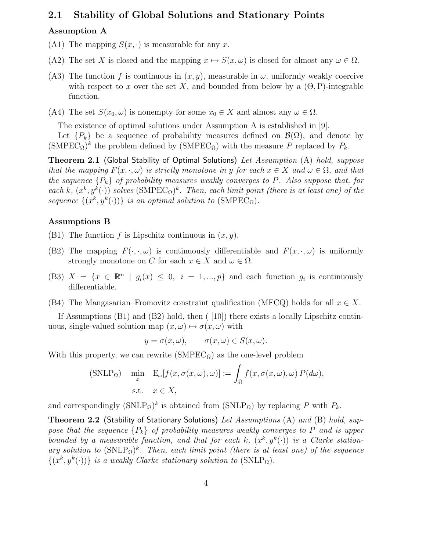### 2.1 Stability of Global Solutions and Stationary Points Assumption A

- (A1) The mapping  $S(x, \cdot)$  is measurable for any x.
- (A2) The set X is closed and the mapping  $x \mapsto S(x, \omega)$  is closed for almost any  $\omega \in \Omega$ .
- (A3) The function f is continuous in  $(x, y)$ , measurable in  $\omega$ , uniformly weakly coercive with respect to x over the set X, and bounded from below by a  $(\Theta, P)$ -integrable function.
- (A4) The set  $S(x_0, \omega)$  is nonempty for some  $x_0 \in X$  and almost any  $\omega \in \Omega$ .

The existence of optimal solutions under Assumption A is established in [9].

Let  ${P_k}$  be a sequence of probability measures defined on  $\mathcal{B}(\Omega)$ , and denote by  $(SMPEC_{\Omega})^k$  the problem defined by  $(SMPEC_{\Omega})$  with the measure P replaced by  $P_k$ .

**Theorem 2.1** (Global Stability of Optimal Solutions) Let Assumption  $(A)$  hold, suppose that the mapping  $F(x, \cdot, \omega)$  is strictly monotone in y for each  $x \in X$  and  $\omega \in \Omega$ , and that the sequence  ${P_k}$  of probability measures weakly converges to P. Also suppose that, for each k,  $(x^k, y^k(\cdot))$  solves  $(SMPEC_{\Omega})^k$ . Then, each limit point (there is at least one) of the sequence  $\{(x^k, y^k(\cdot))\}$  is an optimal solution to  $(SMPEC_{\Omega}).$ 

#### Assumptions B

- (B1) The function f is Lipschitz continuous in  $(x, y)$ .
- (B2) The mapping  $F(\cdot, \cdot, \omega)$  is continuously differentiable and  $F(x, \cdot, \omega)$  is uniformly strongly monotone on C for each  $x \in X$  and  $\omega \in \Omega$ .
- (B3)  $X = \{x \in \mathbb{R}^n \mid g_i(x) \leq 0, i = 1, ..., p\}$  and each function  $g_i$  is continuously differentiable.
- (B4) The Mangasarian–Fromovitz constraint qualification (MFCQ) holds for all  $x \in X$ .

If Assumptions  $(B1)$  and  $(B2)$  hold, then  $(10)$  there exists a locally Lipschitz continuous, single-valued solution map  $(x, \omega) \mapsto \sigma(x, \omega)$  with

$$
y = \sigma(x, \omega), \qquad \sigma(x, \omega) \in S(x, \omega).
$$

With this property, we can rewrite  $(SMPEC_{\Omega})$  as the one-level problem

(SNLP<sub>Ω</sub>) 
$$
\min_{x} \quad E_{\omega}[f(x, \sigma(x, \omega), \omega)] := \int_{\Omega} f(x, \sigma(x, \omega), \omega) P(d\omega),
$$
  
s.t.  $x \in X$ ,

and correspondingly  $(SNLP_{\Omega})^k$  is obtained from  $(SNLP_{\Omega})$  by replacing P with  $P_k$ .

**Theorem 2.2** (Stability of Stationary Solutions) Let Assumptions (A) and (B) hold, suppose that the sequence  ${P_k}$  of probability measures weakly converges to P and is upper bounded by a measurable function, and that for each k,  $(x^k, y^k(\cdot))$  is a Clarke stationary solution to  $(SNLP_{\Omega})^k$ . Then, each limit point (there is at least one) of the sequence  $\{(x^k, y^k(\cdot))\}$  is a weakly Clarke stationary solution to  $(SNLP_{\Omega})$ .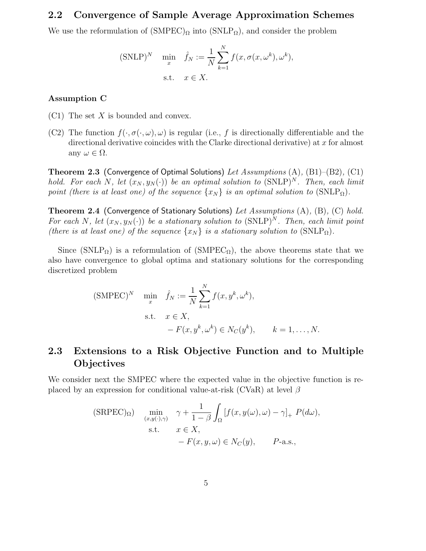#### 2.2 Convergence of Sample Average Approximation Schemes

We use the reformulation of  $(SMPEC)_{\Omega}$  into  $(SMLP_{\Omega})$ , and consider the problem

(SNLP)<sup>N</sup> 
$$
\min_x \quad \hat{f}_N := \frac{1}{N} \sum_{k=1}^N f(x, \sigma(x, \omega^k), \omega^k),
$$
  
s.t.  $x \in X$ .

#### Assumption C

- $(C1)$  The set X is bounded and convex.
- (C2) The function  $f(\cdot, \sigma(\cdot, \omega), \omega)$  is regular (i.e., f is directionally differentiable and the directional derivative coincides with the Clarke directional derivative) at x for almost any  $\omega \in \Omega$ .

**Theorem 2.3** (Convergence of Optimal Solutions) Let Assumptions  $(A)$ ,  $(B1)$ – $(B2)$ ,  $(C1)$ hold. For each N, let  $(x_N, y_N(\cdot))$  be an optimal solution to  $(SNLP)^N$ . Then, each limit point (there is at least one) of the sequence  $\{x_N\}$  is an optimal solution to  $(SNLP_{\Omega})$ .

**Theorem 2.4 (Convergence of Stationary Solutions)** Let  $Assumptions(A)$ ,  $(B)$ ,  $(C)$  hold. For each N, let  $(x_N, y_N(\cdot))$  be a stationary solution to  $(SNLP)^N$ . Then, each limit point (there is at least one) of the sequence  $\{x_N\}$  is a stationary solution to  $(SNLP<sub>\Omega</sub>)$ .

Since (SNLP<sub>Ω</sub>) is a reformulation of (SMPEC<sub>Ω</sub>), the above theorems state that we also have convergence to global optima and stationary solutions for the corresponding discretized problem

$$
\begin{aligned} \text{(SMPEC)}^N & \quad \min_x \quad \hat{f}_N := \frac{1}{N} \sum_{k=1}^N f(x, y^k, \omega^k), \\ \text{s.t.} \quad & x \in X, \\ & \quad -F(x, y^k, \omega^k) \in N_C(y^k), \qquad k = 1, \dots, N. \end{aligned}
$$

#### 2.3 Extensions to a Risk Objective Function and to Multiple **Objectives**

We consider next the SMPEC where the expected value in the objective function is replaced by an expression for conditional value-at-risk (CVaR) at level  $\beta$ 

(SRPEC)<sub>Ω</sub> 
$$
\min_{(x,y(\cdot),\gamma)} \gamma + \frac{1}{1-\beta} \int_{\Omega} [f(x,y(\omega),\omega) - \gamma]_{+} P(d\omega),
$$
  
s.t.  $x \in X$ ,  
 $-F(x,y,\omega) \in N_C(y)$ ,  $P$ -a.s.,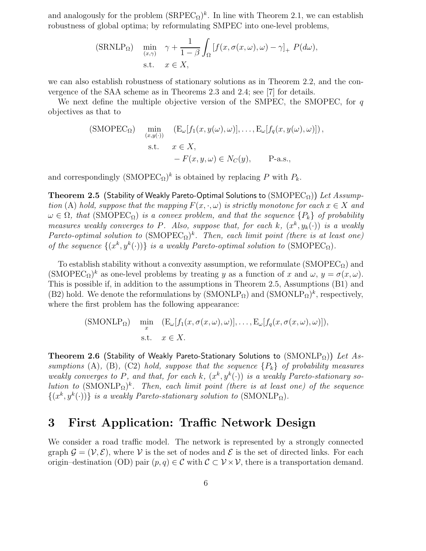and analogously for the problem  $(SRPEC_{\Omega})^k$ . In line with Theorem 2.1, we can establish robustness of global optima; by reformulating SMPEC into one-level problems,

$$
\text{(SRNLP}_{\Omega}) \quad \min_{(x,\gamma)} \quad \gamma + \frac{1}{1-\beta} \int_{\Omega} \left[ f(x,\sigma(x,\omega),\omega) - \gamma \right]_{+} P(d\omega),
$$
\n
$$
\text{s.t.} \quad x \in X,
$$

we can also establish robustness of stationary solutions as in Theorem 2.2, and the convergence of the SAA scheme as in Theorems 2.3 and 2.4; see [7] for details.

We next define the multiple objective version of the SMPEC, the SMOPEC, for  $q$ objectives as that to

(SMOPEC<sub>Ω</sub>) 
$$
\min_{(x,y(\cdot))}
$$
 (E<sub>*ω*</sub>[f<sub>1</sub>(x, y(*ω*), *ω*)],...,E<sub>*ω*</sub>[f<sub>q</sub>(x, y(*ω*), *ω*)]),  
s.t.  $x \in X$ ,  
- F(x, y, *ω*)  $\in$  N<sub>C</sub>(y), P-a.s.,

and correspondingly  $(SMOPEC_{\Omega})^k$  is obtained by replacing P with  $P_k$ .

**Theorem 2.5** (Stability of Weakly Pareto-Optimal Solutions to  $(\text{SMOPEC}_{\Omega})$ ) Let Assumption (A) hold, suppose that the mapping  $F(x, \cdot, \omega)$  is strictly monotone for each  $x \in X$  and  $\omega \in \Omega$ , that (SMOPEC<sub>Ω</sub>) is a convex problem, and that the sequence  $\{P_k\}$  of probability measures weakly converges to P. Also, suppose that, for each k,  $(x^k, y_k(\cdot))$  is a weakly Pareto-optimal solution to  $(SMOPEC_{\Omega})^k$ . Then, each limit point (there is at least one) of the sequence  $\{(x^k, y^k(\cdot))\}$  is a weakly Pareto-optimal solution to  $(SMOPEC_{\Omega})$ .

To establish stability without a convexity assumption, we reformulate  $(SMOPEC_{\Omega})$  and  $(SMOPEC_{\Omega})^k$  as one-level problems by treating y as a function of x and  $\omega, y = \sigma(x, \omega)$ . This is possible if, in addition to the assumptions in Theorem 2.5, Assumptions (B1) and (B2) hold. We denote the reformulations by  $(SMONLP<sub>Ω</sub>)$  and  $(SMONLP<sub>Ω</sub>)<sup>k</sup>$ , respectively, where the first problem has the following appearance:

(SMONLP<sub>Ω</sub>) 
$$
\min_{x} \left( E_{\omega}[f_1(x, \sigma(x,\omega), \omega)], \dots, E_{\omega}[f_q(x, \sigma(x,\omega), \omega)] \right),
$$
  
s.t.  $x \in X$ .

Theorem 2.6 (Stability of Weakly Pareto-Stationary Solutions to  $(SMONLP<sub>Ω</sub>)$ ) Let Assumptions (A), (B), (C2) hold, suppose that the sequence  ${P_k}$  of probability measures weakly converges to P, and that, for each k,  $(x^k, y^k(\cdot))$  is a weakly Pareto-stationary solution to  $(SMONLP<sub>Ω</sub>)<sup>k</sup>$ . Then, each limit point (there is at least one) of the sequence  $\{(x^k, y^k(\cdot))\}$  is a weakly Pareto-stationary solution to  $(SMONLP_{\Omega})$ .

### 3 First Application: Traffic Network Design

We consider a road traffic model. The network is represented by a strongly connected graph  $\mathcal{G} = (\mathcal{V}, \mathcal{E})$ , where V is the set of nodes and  $\mathcal{E}$  is the set of directed links. For each origin–destination (OD) pair  $(p, q) \in \mathcal{C}$  with  $\mathcal{C} \subset \mathcal{V} \times \mathcal{V}$ , there is a transportation demand.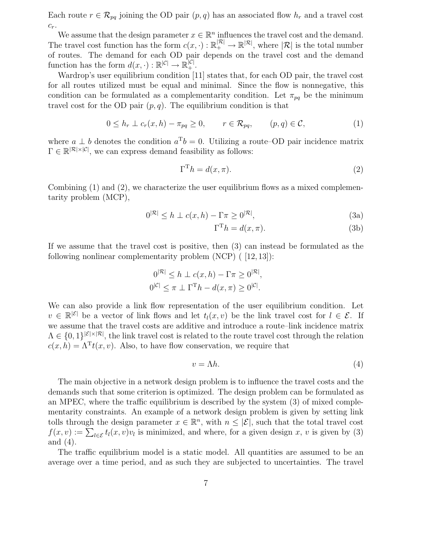Each route  $r \in \mathcal{R}_{pq}$  joining the OD pair  $(p, q)$  has an associated flow  $h_r$  and a travel cost  $c_r$ .

We assume that the design parameter  $x \in \mathbb{R}^n$  influences the travel cost and the demand. The travel cost function has the form  $c(x, \cdot) : \mathbb{R}^{|\mathcal{R}|}_+ \to \mathbb{R}^{|\mathcal{R}|}$ , where  $|\mathcal{R}|$  is the total number of routes. The demand for each OD pair depends on the travel cost and the demand function has the form  $d(x, \cdot) : \mathbb{R}^{|\mathcal{C}|} \to \mathbb{R}^{|\mathcal{C}|}_+$ .

Wardrop's user equilibrium condition [11] states that, for each OD pair, the travel cost for all routes utilized must be equal and minimal. Since the flow is nonnegative, this condition can be formulated as a complementarity condition. Let  $\pi_{pq}$  be the minimum travel cost for the OD pair  $(p, q)$ . The equilibrium condition is that

$$
0 \le h_r \perp c_r(x, h) - \pi_{pq} \ge 0, \qquad r \in \mathcal{R}_{pq}, \qquad (p, q) \in \mathcal{C}, \tag{1}
$$

where  $a \perp b$  denotes the condition  $a^{\mathrm{T}}b = 0$ . Utilizing a route–OD pair incidence matrix  $\Gamma \in \mathbb{R}^{|\mathcal{R}| \times |\mathcal{C}|}$ , we can express demand feasibility as follows:

$$
\Gamma^{\mathrm{T}} h = d(x, \pi). \tag{2}
$$

Combining (1) and (2), we characterize the user equilibrium flows as a mixed complementarity problem (MCP),

$$
0^{|\mathcal{R}|} \le h \perp c(x, h) - \Gamma \pi \ge 0^{|\mathcal{R}|},\tag{3a}
$$

$$
\Gamma^{\mathrm{T}} h = d(x, \pi). \tag{3b}
$$

If we assume that the travel cost is positive, then (3) can instead be formulated as the following nonlinear complementarity problem (NCP) ( [12, 13]):

$$
0^{|\mathcal{R}|} \le h \perp c(x, h) - \Gamma \pi \ge 0^{|\mathcal{R}|},
$$
  

$$
0^{|\mathcal{C}|} \le \pi \perp \Gamma^{\mathrm{T}} h - d(x, \pi) \ge 0^{|\mathcal{C}|}.
$$

We can also provide a link flow representation of the user equilibrium condition. Let  $v \in \mathbb{R}^{|\mathcal{E}|}$  be a vector of link flows and let  $t_l(x, v)$  be the link travel cost for  $l \in \mathcal{E}$ . If we assume that the travel costs are additive and introduce a route–link incidence matrix  $\Lambda \in \{0,1\}^{|\mathcal{E}| \times |\mathcal{R}|}$ , the link travel cost is related to the route travel cost through the relation  $c(x, h) = \Lambda^{T} t(x, v)$ . Also, to have flow conservation, we require that

$$
v = \Lambda h. \tag{4}
$$

The main objective in a network design problem is to influence the travel costs and the demands such that some criterion is optimized. The design problem can be formulated as an MPEC, where the traffic equilibrium is described by the system (3) of mixed complementarity constraints. An example of a network design problem is given by setting link tolls through the design parameter  $x \in \mathbb{R}^n$ , with  $n \leq |\mathcal{E}|$ , such that the total travel cost  $f(x, v) := \sum_{l \in \mathcal{E}} t_l(x, v)v_l$  is minimized, and where, for a given design x, v is given by (3) and (4).

The traffic equilibrium model is a static model. All quantities are assumed to be an average over a time period, and as such they are subjected to uncertainties. The travel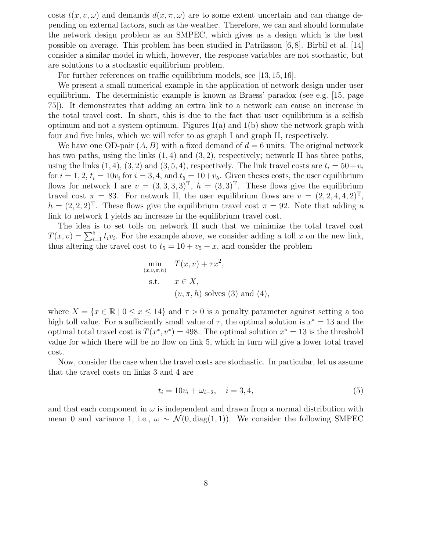costs  $t(x, v, \omega)$  and demands  $d(x, \pi, \omega)$  are to some extent uncertain and can change depending on external factors, such as the weather. Therefore, we can and should formulate the network design problem as an SMPEC, which gives us a design which is the best possible on average. This problem has been studied in Patriksson [6, 8]. Birbil et al. [14] consider a similar model in which, however, the response variables are not stochastic, but are solutions to a stochastic equilibrium problem.

For further references on traffic equilibrium models, see [13, 15, 16].

We present a small numerical example in the application of network design under user equilibrium. The deterministic example is known as Braess' paradox (see e.g. [15, page 75]). It demonstrates that adding an extra link to a network can cause an increase in the total travel cost. In short, this is due to the fact that user equilibrium is a selfish optimum and not a system optimum. Figures  $1(a)$  and  $1(b)$  show the network graph with four and five links, which we will refer to as graph I and graph II, respectively.

We have one OD-pair  $(A, B)$  with a fixed demand of  $d = 6$  units. The original network has two paths, using the links  $(1, 4)$  and  $(3, 2)$ , respectively; network II has three paths, using the links  $(1, 4)$ ,  $(3, 2)$  and  $(3, 5, 4)$ , respectively. The link travel costs are  $t_i = 50 + v_i$ for  $i = 1, 2, t_i = 10v_i$  for  $i = 3, 4$ , and  $t_5 = 10 + v_5$ . Given theses costs, the user equilibrium flows for network I are  $v = (3,3,3,3)^T$ ,  $h = (3,3)^T$ . These flows give the equilibrium travel cost  $\pi = 83$ . For network II, the user equilibrium flows are  $v = (2, 2, 4, 4, 2)^T$ ,  $h = (2, 2, 2)^T$ . These flows give the equilibrium travel cost  $\pi = 92$ . Note that adding a link to network I yields an increase in the equilibrium travel cost.

The idea is to set tolls on network II such that we minimize the total travel cost  $T(x, v) = \sum_{i=1}^{5} t_i v_i$ . For the example above, we consider adding a toll x on the new link, thus altering the travel cost to  $t_5 = 10 + v_5 + x$ , and consider the problem

$$
\min_{(x,v,\pi,h)} T(x,v) + \tau x^2,
$$
  
s.t.  $x \in X$ ,  
 $(v, \pi, h)$  solves (3) and (4),

where  $X = \{x \in \mathbb{R} \mid 0 \le x \le 14\}$  and  $\tau > 0$  is a penalty parameter against setting a too high toll value. For a sufficiently small value of  $\tau$ , the optimal solution is  $x^* = 13$  and the optimal total travel cost is  $T(x^*, v^*) = 498$ . The optimal solution  $x^* = 13$  is the threshold value for which there will be no flow on link 5, which in turn will give a lower total travel cost.

Now, consider the case when the travel costs are stochastic. In particular, let us assume that the travel costs on links 3 and 4 are

$$
t_i = 10v_i + \omega_{i-2}, \quad i = 3, 4,
$$
\n<sup>(5)</sup>

and that each component in  $\omega$  is independent and drawn from a normal distribution with mean 0 and variance 1, i.e.,  $\omega \sim \mathcal{N}(0, \text{diag}(1, 1))$ . We consider the following SMPEC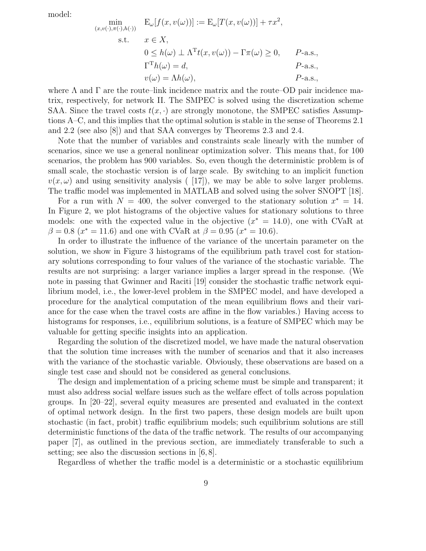model:

$$
\min_{(x,v(\cdot),\pi(\cdot),h(\cdot))} \mathbf{E}_{\omega}[f(x,v(\omega))] := \mathbf{E}_{\omega}[T(x,v(\omega))] + \tau x^2,
$$
\n
$$
\text{s.t.} \quad x \in X,
$$
\n
$$
0 \le h(\omega) \perp \Lambda^{\mathrm{T}} t(x,v(\omega)) - \Gamma \pi(\omega) \ge 0, \qquad P\text{-a.s.,}
$$
\n
$$
\Gamma^{\mathrm{T}} h(\omega) = d,
$$
\n
$$
v(\omega) = \Lambda h(\omega), \qquad P\text{-a.s.,}
$$

where  $\Lambda$  and  $\Gamma$  are the route–link incidence matrix and the route–OD pair incidence matrix, respectively, for network II. The SMPEC is solved using the discretization scheme SAA. Since the travel costs  $t(x, \cdot)$  are strongly monotone, the SMPEC satisfies Assumptions A–C, and this implies that the optimal solution is stable in the sense of Theorems 2.1 and 2.2 (see also [8]) and that SAA converges by Theorems 2.3 and 2.4.

Note that the number of variables and constraints scale linearly with the number of scenarios, since we use a general nonlinear optimization solver. This means that, for 100 scenarios, the problem has 900 variables. So, even though the deterministic problem is of small scale, the stochastic version is of large scale. By switching to an implicit function  $v(x, \omega)$  and using sensitivity analysis ([17]), we may be able to solve larger problems. The traffic model was implemented in MATLAB and solved using the solver SNOPT [18].

For a run with  $N = 400$ , the solver converged to the stationary solution  $x^* = 14$ . In Figure 2, we plot histograms of the objective values for stationary solutions to three models: one with the expected value in the objective  $(x^* = 14.0)$ , one with CVaR at  $\beta = 0.8 \ (x^* = 11.6)$  and one with CVaR at  $\beta = 0.95 \ (x^* = 10.6)$ .

In order to illustrate the influence of the variance of the uncertain parameter on the solution, we show in Figure 3 histograms of the equilibrium path travel cost for stationary solutions corresponding to four values of the variance of the stochastic variable. The results are not surprising: a larger variance implies a larger spread in the response. (We note in passing that Gwinner and Raciti [19] consider the stochastic traffic network equilibrium model, i.e., the lower-level problem in the SMPEC model, and have developed a procedure for the analytical computation of the mean equilibrium flows and their variance for the case when the travel costs are affine in the flow variables.) Having access to histograms for responses, i.e., equilibrium solutions, is a feature of SMPEC which may be valuable for getting specific insights into an application.

Regarding the solution of the discretized model, we have made the natural observation that the solution time increases with the number of scenarios and that it also increases with the variance of the stochastic variable. Obviously, these observations are based on a single test case and should not be considered as general conclusions.

The design and implementation of a pricing scheme must be simple and transparent; it must also address social welfare issues such as the welfare effect of tolls across population groups. In [20–22], several equity measures are presented and evaluated in the context of optimal network design. In the first two papers, these design models are built upon stochastic (in fact, probit) traffic equilibrium models; such equilibrium solutions are still deterministic functions of the data of the traffic network. The results of our accompanying paper [7], as outlined in the previous section, are immediately transferable to such a setting; see also the discussion sections in [6, 8].

Regardless of whether the traffic model is a deterministic or a stochastic equilibrium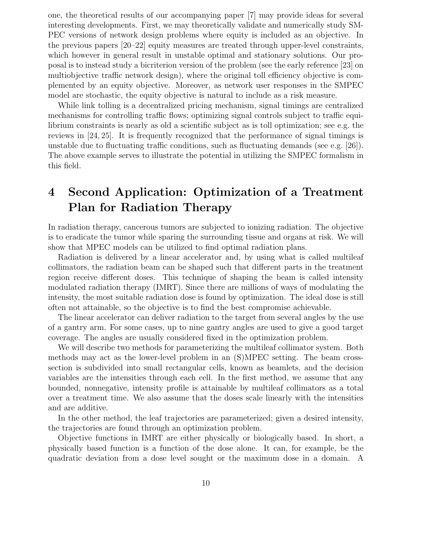one, the theoretical results of our accompanying paper [7] may provide ideas for several interesting developments. First, we may theoretically validate and numerically study SM-PEC versions of network design problems where equity is included as an objective. In the previous papers [20–22] equity measures are treated through upper-level constraints, which however in general result in unstable optimal and stationary solutions. Our proposal is to instead study a bicriterion version of the problem (see the early reference [23] on multiobjective traffic network design), where the original toll efficiency objective is complemented by an equity objective. Moreover, as network user responses in the SMPEC model are stochastic, the equity objective is natural to include as a risk measure.

While link tolling is a decentralized pricing mechanism, signal timings are centralized mechanisms for controlling traffic flows; optimizing signal controls subject to traffic equilibrium constraints is nearly as old a scientific subject as is toll optimization; see e.g. the reviews in [24, 25]. It is frequently recognized that the performance of signal timings is unstable due to fluctuating traffic conditions, such as fluctuating demands (see e.g. [26]). The above example serves to illustrate the potential in utilizing the SMPEC formalism in this field.

## 4 Second Application: Optimization of a Treatment Plan for Radiation Therapy

In radiation therapy, cancerous tumors are subjected to ionizing radiation. The objective is to eradicate the tumor while sparing the surrounding tissue and organs at risk. We will show that MPEC models can be utilized to find optimal radiation plans.

Radiation is delivered by a linear accelerator and, by using what is called multileaf collimators, the radiation beam can be shaped such that different parts in the treatment region receive different doses. This technique of shaping the beam is called intensity modulated radiation therapy (IMRT). Since there are millions of ways of modulating the intensity, the most suitable radiation dose is found by optimization. The ideal dose is still often not attainable, so the objective is to find the best compromise achievable.

The linear accelerator can deliver radiation to the target from several angles by the use of a gantry arm. For some cases, up to nine gantry angles are used to give a good target coverage. The angles are usually considered fixed in the optimization problem.

We will describe two methods for parameterizing the multileaf collimator system. Both methods may act as the lower-level problem in an (S)MPEC setting. The beam crosssection is subdivided into small rectangular cells, known as beamlets, and the decision variables are the intensities through each cell. In the first method, we assume that any bounded, nonnegative, intensity profile is attainable by multileaf collimators as a total over a treatment time. We also assume that the doses scale linearly with the intensities and are additive.

In the other method, the leaf trajectories are parameterized; given a desired intensity, the trajectories are found through an optimization problem.

Objective functions in IMRT are either physically or biologically based. In short, a physically based function is a function of the dose alone. It can, for example, be the quadratic deviation from a dose level sought or the maximum dose in a domain. A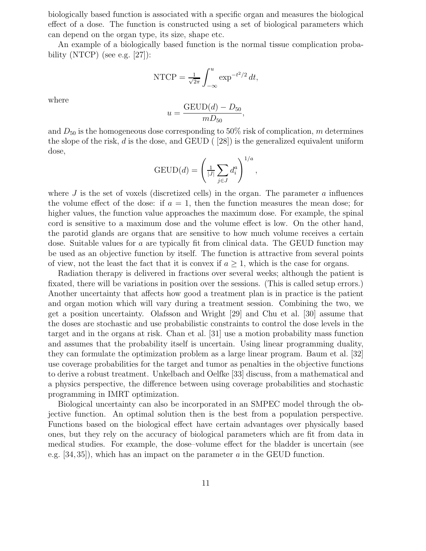biologically based function is associated with a specific organ and measures the biological effect of a dose. The function is constructed using a set of biological parameters which can depend on the organ type, its size, shape etc.

An example of a biologically based function is the normal tissue complication probability (NTCP) (see e.g.  $[27]$ ):

$$
\text{NTCP} = \frac{1}{\sqrt{2\pi}} \int_{-\infty}^{u} \exp^{-t^2/2} dt,
$$

where

$$
u = \frac{\text{GEUD}(d) - D_{50}}{mD_{50}},
$$

and  $D_{50}$  is the homogeneous dose corresponding to 50% risk of complication, m determines the slope of the risk,  $d$  is the dose, and GEUD ( $[28]$ ) is the generalized equivalent uniform dose,

$$
GEUD(d) = \left(\frac{1}{|J|} \sum_{j \in J} d_i^a\right)^{1/a},
$$

where  $J$  is the set of voxels (discretized cells) in the organ. The parameter  $a$  influences the volume effect of the dose: if  $a = 1$ , then the function measures the mean dose; for higher values, the function value approaches the maximum dose. For example, the spinal cord is sensitive to a maximum dose and the volume effect is low. On the other hand, the parotid glands are organs that are sensitive to how much volume receives a certain dose. Suitable values for a are typically fit from clinical data. The GEUD function may be used as an objective function by itself. The function is attractive from several points of view, not the least the fact that it is convex if  $a \geq 1$ , which is the case for organs.

Radiation therapy is delivered in fractions over several weeks; although the patient is fixated, there will be variations in position over the sessions. (This is called setup errors.) Another uncertainty that affects how good a treatment plan is in practice is the patient and organ motion which will vary during a treatment session. Combining the two, we get a position uncertainty. Olafsson and Wright [29] and Chu et al. [30] assume that the doses are stochastic and use probabilistic constraints to control the dose levels in the target and in the organs at risk. Chan et al. [31] use a motion probability mass function and assumes that the probability itself is uncertain. Using linear programming duality, they can formulate the optimization problem as a large linear program. Baum et al. [32] use coverage probabilities for the target and tumor as penalties in the objective functions to derive a robust treatment. Unkelbach and Oelfke [33] discuss, from a mathematical and a physics perspective, the difference between using coverage probabilities and stochastic programming in IMRT optimization.

Biological uncertainty can also be incorporated in an SMPEC model through the objective function. An optimal solution then is the best from a population perspective. Functions based on the biological effect have certain advantages over physically based ones, but they rely on the accuracy of biological parameters which are fit from data in medical studies. For example, the dose–volume effect for the bladder is uncertain (see e.g.  $[34, 35]$ , which has an impact on the parameter a in the GEUD function.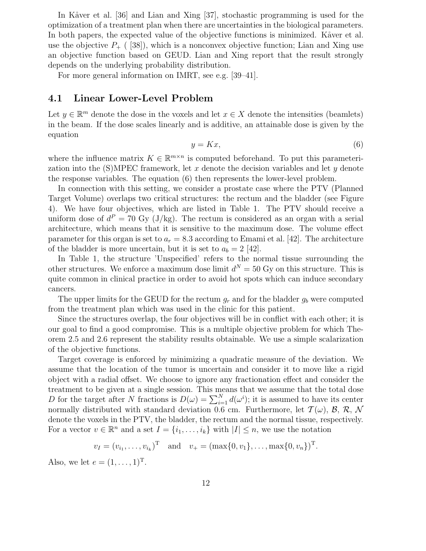In Kåver et al. [36] and Lian and Xing [37], stochastic programming is used for the optimization of a treatment plan when there are uncertainties in the biological parameters. In both papers, the expected value of the objective functions is minimized. K aver et al. use the objective  $P_+$  ( [38]), which is a nonconvex objective function; Lian and Xing use an objective function based on GEUD. Lian and Xing report that the result strongly depends on the underlying probability distribution.

For more general information on IMRT, see e.g. [39–41].

#### 4.1 Linear Lower-Level Problem

Let  $y \in \mathbb{R}^m$  denote the dose in the voxels and let  $x \in X$  denote the intensities (beamlets) in the beam. If the dose scales linearly and is additive, an attainable dose is given by the equation

$$
y = Kx,\tag{6}
$$

where the influence matrix  $K \in \mathbb{R}^{m \times n}$  is computed beforehand. To put this parameterization into the  $(S)$ MPEC framework, let x denote the decision variables and let y denote the response variables. The equation (6) then represents the lower-level problem.

In connection with this setting, we consider a prostate case where the PTV (Planned Target Volume) overlaps two critical structures: the rectum and the bladder (see Figure 4). We have four objectives, which are listed in Table 1. The PTV should receive a uniform dose of  $d^P = 70$  Gy (J/kg). The rectum is considered as an organ with a serial architecture, which means that it is sensitive to the maximum dose. The volume effect parameter for this organ is set to  $a_r = 8.3$  according to Emami et al. [42]. The architecture of the bladder is more uncertain, but it is set to  $a_b = 2$  [42].

In Table 1, the structure 'Unspecified' refers to the normal tissue surrounding the other structures. We enforce a maximum dose limit  $d^N = 50$  Gy on this structure. This is quite common in clinical practice in order to avoid hot spots which can induce secondary cancers.

The upper limits for the GEUD for the rectum  $g_r$  and for the bladder  $g_b$  were computed from the treatment plan which was used in the clinic for this patient.

Since the structures overlap, the four objectives will be in conflict with each other; it is our goal to find a good compromise. This is a multiple objective problem for which Theorem 2.5 and 2.6 represent the stability results obtainable. We use a simple scalarization of the objective functions.

Target coverage is enforced by minimizing a quadratic measure of the deviation. We assume that the location of the tumor is uncertain and consider it to move like a rigid object with a radial offset. We choose to ignore any fractionation effect and consider the treatment to be given at a single session. This means that we assume that the total dose D for the target after N fractions is  $D(\omega) = \sum_{i=1}^{N} d(\omega^{i})$ ; it is assumed to have its center normally distributed with standard deviation 0.6 cm. Furthermore, let  $\mathcal{T}(\omega)$ ,  $\mathcal{B}, \mathcal{R}, \mathcal{N}$ denote the voxels in the PTV, the bladder, the rectum and the normal tissue, respectively. For a vector  $v \in \mathbb{R}^n$  and a set  $I = \{i_1, \ldots, i_k\}$  with  $|I| \leq n$ , we use the notation

$$
v_I = (v_{i_1}, \ldots, v_{i_k})^T
$$
 and  $v_+ = (\max\{0, v_1\}, \ldots, \max\{0, v_n\})^T$ .

Also, we let  $e = (1, ..., 1)^T$ .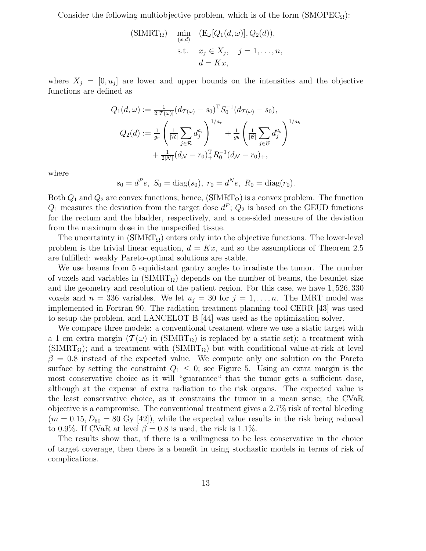Consider the following multiobjective problem, which is of the form  $(SMOPEC_{\Omega})$ :

(SIMRT<sub>Ω</sub>) min 
$$
\lim_{(x,d)} \quad (E_{\omega}[Q_1(d,\omega)], Q_2(d)),
$$
  
s.t. 
$$
x_j \in X_j, \quad j = 1, ..., n,
$$

$$
d = Kx,
$$

where  $X_j = [0, u_j]$  are lower and upper bounds on the intensities and the objective functions are defined as

$$
Q_1(d,\omega) := \frac{1}{2|T(\omega)|} (d_{T(\omega)} - s_0)^{\mathrm{T}} S_0^{-1} (d_{T(\omega)} - s_0),
$$
  

$$
Q_2(d) := \frac{1}{g_r} \left( \frac{1}{|\mathcal{R}|} \sum_{j \in \mathcal{R}} d_j^{a_r} \right)^{1/a_r} + \frac{1}{g_b} \left( \frac{1}{|\mathcal{B}|} \sum_{j \in \mathcal{B}} d_j^{a_b} \right)^{1/a_b}
$$
  

$$
+ \frac{1}{2|\mathcal{N}|} (d_{\mathcal{N}} - r_0)^{\mathrm{T}} T R_0^{-1} (d_{\mathcal{N}} - r_0)_+,
$$

where

$$
s_0 = d^P e
$$
,  $S_0 = \text{diag}(s_0)$ ,  $r_0 = d^N e$ ,  $R_0 = \text{diag}(r_0)$ .

Both  $Q_1$  and  $Q_2$  are convex functions; hence,  $(SIMRT_\Omega)$  is a convex problem. The function  $Q_1$  measures the deviation from the target dose  $d^P$ ;  $Q_2$  is based on the GEUD functions for the rectum and the bladder, respectively, and a one-sided measure of the deviation from the maximum dose in the unspecified tissue.

The uncertainty in  $(SIMRT_{\Omega})$  enters only into the objective functions. The lower-level problem is the trivial linear equation,  $d = Kx$ , and so the assumptions of Theorem 2.5 are fulfilled: weakly Pareto-optimal solutions are stable.

We use beams from 5 equidistant gantry angles to irradiate the tumor. The number of voxels and variables in  $(SIMRT<sub>\Omega</sub>)$  depends on the number of beams, the beamlet size and the geometry and resolution of the patient region. For this case, we have 1, 526, 330 voxels and  $n = 336$  variables. We let  $u_j = 30$  for  $j = 1, \ldots, n$ . The IMRT model was implemented in Fortran 90. The radiation treatment planning tool CERR [43] was used to setup the problem, and LANCELOT B [44] was used as the optimization solver.

We compare three models: a conventional treatment where we use a static target with a 1 cm extra margin  $(\mathcal{T}(\omega))$  in  $(SIMRT_{\Omega})$  is replaced by a static set); a treatment with  $(SIMRT<sub>Ω</sub>)$ ; and a treatment with  $(SIMRT<sub>Ω</sub>)$  but with conditional value-at-risk at level  $\beta = 0.8$  instead of the expected value. We compute only one solution on the Pareto surface by setting the constraint  $Q_1 \leq 0$ ; see Figure 5. Using an extra margin is the most conservative choice as it will "guarantee" that the tumor gets a sufficient dose, although at the expense of extra radiation to the risk organs. The expected value is the least conservative choice, as it constrains the tumor in a mean sense; the CVaR objective is a compromise. The conventional treatment gives a 2.7% risk of rectal bleeding  $(m = 0.15, D_{50} = 80 \text{ Gy } [42])$ , while the expected value results in the risk being reduced to 0.9%. If CVaR at level  $\beta = 0.8$  is used, the risk is 1.1%.

The results show that, if there is a willingness to be less conservative in the choice of target coverage, then there is a benefit in using stochastic models in terms of risk of complications.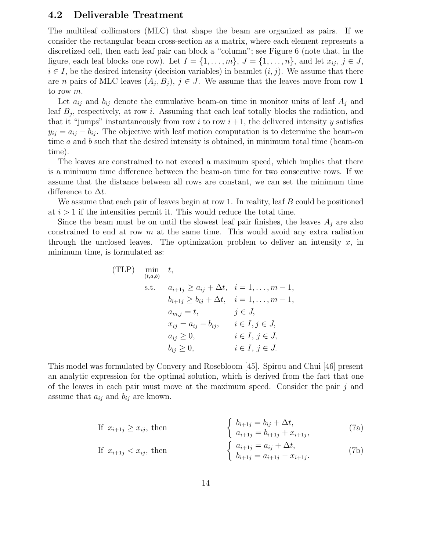#### 4.2 Deliverable Treatment

The multileaf collimators (MLC) that shape the beam are organized as pairs. If we consider the rectangular beam cross-section as a matrix, where each element represents a discretized cell, then each leaf pair can block a "column"; see Figure 6 (note that, in the figure, each leaf blocks one row). Let  $I = \{1, \ldots, m\}$ ,  $J = \{1, \ldots, n\}$ , and let  $x_{ij}, j \in J$ ,  $i \in I$ , be the desired intensity (decision variables) in beamlet  $(i, j)$ . We assume that there are *n* pairs of MLC leaves  $(A_j, B_j)$ ,  $j \in J$ . We assume that the leaves move from row 1 to row m.

Let  $a_{ij}$  and  $b_{ij}$  denote the cumulative beam-on time in monitor units of leaf  $A_j$  and leaf  $B_j$ , respectively, at row *i*. Assuming that each leaf totally blocks the radiation, and that it "jumps" instantaneously from row i to row  $i+1$ , the delivered intensity y satisfies  $y_{ij} = a_{ij} - b_{ij}$ . The objective with leaf motion computation is to determine the beam-on time a and b such that the desired intensity is obtained, in minimum total time (beam-on time).

The leaves are constrained to not exceed a maximum speed, which implies that there is a minimum time difference between the beam-on time for two consecutive rows. If we assume that the distance between all rows are constant, we can set the minimum time difference to  $\Delta t$ .

We assume that each pair of leaves begin at row 1. In reality, leaf  $B$  could be positioned at  $i > 1$  if the intensities permit it. This would reduce the total time.

Since the beam must be on until the slowest leaf pair finishes, the leaves  $A_i$  are also constrained to end at row  $m$  at the same time. This would avoid any extra radiation through the unclosed leaves. The optimization problem to deliver an intensity  $x$ , in minimum time, is formulated as:

(TLP) 
$$
\min_{(t,a,b)} t
$$
,  
\ns.t.  $a_{i+1j} \ge a_{ij} + \Delta t$ ,  $i = 1,..., m - 1$ ,  
\n $b_{i+1j} \ge b_{ij} + \Delta t$ ,  $i = 1,..., m - 1$ ,  
\n $a_{m,j} = t$ ,  $j \in J$ ,  
\n $x_{ij} = a_{ij} - b_{ij}$ ,  $i \in I, j \in J$ ,  
\n $a_{ij} \ge 0$ ,  $i \in I, j \in J$ ,  
\n $b_{ij} \ge 0$ ,  $i \in I, j \in J$ .

This model was formulated by Convery and Rosebloom [45]. Spirou and Chui [46] present an analytic expression for the optimal solution, which is derived from the fact that one of the leaves in each pair must move at the maximum speed. Consider the pair  $j$  and assume that  $a_{ij}$  and  $b_{ij}$  are known.

If 
$$
x_{i+1j} \ge x_{ij}
$$
, then 
$$
\begin{cases} b_{i+1j} = b_{ij} + \Delta t, \\ a_{i+1j} = b_{i+1j} + x_{i+1j}, \end{cases}
$$
 (7a)

If 
$$
x_{i+1j} < x_{ij}
$$
, then 
$$
\begin{cases} a_{i+1j} = a_{ij} + \Delta t, \\ b_{i+1j} = a_{i+1j} - x_{i+1j}. \end{cases}
$$
 (7b)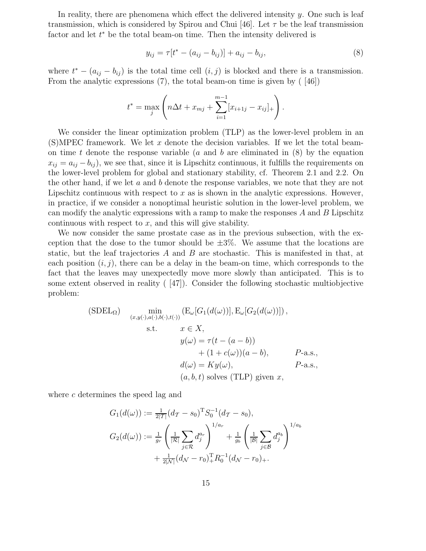In reality, there are phenomena which effect the delivered intensity  $y$ . One such is leaf transmission, which is considered by Spirou and Chui [46]. Let  $\tau$  be the leaf transmission factor and let  $t^*$  be the total beam-on time. Then the intensity delivered is

$$
y_{ij} = \tau[t^* - (a_{ij} - b_{ij})] + a_{ij} - b_{ij},
$$
\n(8)

where  $t^* - (a_{ij} - b_{ij})$  is the total time cell  $(i, j)$  is blocked and there is a transmission. From the analytic expressions (7), the total beam-on time is given by  $( \ \, 46 \, )$ 

$$
t^* = \max_j \left( n\Delta t + x_{mj} + \sum_{i=1}^{m-1} [x_{i+1j} - x_{ij}]_+ \right).
$$

We consider the linear optimization problem (TLP) as the lower-level problem in an (S)MPEC framework. We let x denote the decision variables. If we let the total beamon time t denote the response variable (a and b are eliminated in  $(8)$  by the equation  $x_{ij} = a_{ij} - b_{ij}$ , we see that, since it is Lipschitz continuous, it fulfills the requirements on the lower-level problem for global and stationary stability, cf. Theorem 2.1 and 2.2. On the other hand, if we let  $a$  and  $b$  denote the response variables, we note that they are not Lipschitz continuous with respect to  $x$  as is shown in the analytic expressions. However, in practice, if we consider a nonoptimal heuristic solution in the lower-level problem, we can modify the analytic expressions with a ramp to make the responses  $A$  and  $B$  Lipschitz continuous with respect to  $x$ , and this will give stability.

We now consider the same prostate case as in the previous subsection, with the exception that the dose to the tumor should be  $\pm 3\%$ . We assume that the locations are static, but the leaf trajectories  $A$  and  $B$  are stochastic. This is manifested in that, at each position  $(i, j)$ , there can be a delay in the beam-on time, which corresponds to the fact that the leaves may unexpectedly move more slowly than anticipated. This is to some extent observed in reality  $(47)$ . Consider the following stochastic multiobjective problem:

(SDEL<sub>Ω</sub>) min  
\n
$$
(x,y(\cdot),a(\cdot),b(\cdot),t(\cdot))
$$
\n
$$
(E_{\omega}[G_{1}(d(\omega))], E_{\omega}[G_{2}(d(\omega))]),
$$
\n
$$
x \in X,
$$
\n
$$
y(\omega) = \tau(t - (a - b)) + (1 + c(\omega))(a - b), \qquad P-a.s.,
$$
\n
$$
d(\omega) = Ky(\omega), \qquad P-a.s.,
$$
\n
$$
(a, b, t) \text{ solves (TLP) given } x,
$$

where c determines the speed lag and

$$
G_1(d(\omega)) := \frac{1}{2|T|} (d_T - s_0)^T S_0^{-1} (d_T - s_0),
$$
  
\n
$$
G_2(d(\omega)) := \frac{1}{g_r} \left( \frac{1}{|R|} \sum_{j \in R} d_j^{a_r} \right)^{1/a_r} + \frac{1}{g_b} \left( \frac{1}{|B|} \sum_{j \in B} d_j^{a_b} \right)^{1/a_b}
$$
  
\n
$$
+ \frac{1}{2|N|} (d_N - r_0)^T R_0^{-1} (d_N - r_0).
$$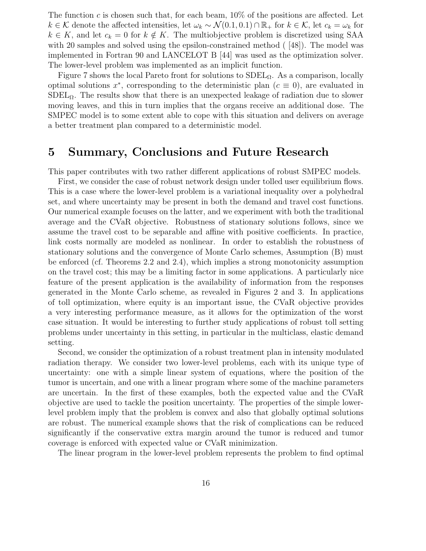The function c is chosen such that, for each beam,  $10\%$  of the positions are affected. Let k ∈ K denote the affected intensities, let  $\omega_k \sim \mathcal{N}(0.1, 0.1) \cap \mathbb{R}_+$  for  $k \in \mathcal{K}$ , let  $c_k = \omega_k$  for  $k \in K$ , and let  $c_k = 0$  for  $k \notin K$ . The multiobjective problem is discretized using SAA with 20 samples and solved using the epsilon-constrained method ([48]). The model was implemented in Fortran 90 and LANCELOT B [44] was used as the optimization solver. The lower-level problem was implemented as an implicit function.

Figure 7 shows the local Pareto front for solutions to  $SDEL<sub>Ω</sub>$ . As a comparison, locally optimal solutions  $x^*$ , corresponding to the deterministic plan  $(c \equiv 0)$ , are evaluated in  $SDEL<sub>Ω</sub>$ . The results show that there is an unexpected leakage of radiation due to slower moving leaves, and this in turn implies that the organs receive an additional dose. The SMPEC model is to some extent able to cope with this situation and delivers on average a better treatment plan compared to a deterministic model.

### 5 Summary, Conclusions and Future Research

This paper contributes with two rather different applications of robust SMPEC models.

First, we consider the case of robust network design under tolled user equilibrium flows. This is a case where the lower-level problem is a variational inequality over a polyhedral set, and where uncertainty may be present in both the demand and travel cost functions. Our numerical example focuses on the latter, and we experiment with both the traditional average and the CVaR objective. Robustness of stationary solutions follows, since we assume the travel cost to be separable and affine with positive coefficients. In practice, link costs normally are modeled as nonlinear. In order to establish the robustness of stationary solutions and the convergence of Monte Carlo schemes, Assumption (B) must be enforced (cf. Theorems 2.2 and 2.4), which implies a strong monotonicity assumption on the travel cost; this may be a limiting factor in some applications. A particularly nice feature of the present application is the availability of information from the responses generated in the Monte Carlo scheme, as revealed in Figures 2 and 3. In applications of toll optimization, where equity is an important issue, the CVaR objective provides a very interesting performance measure, as it allows for the optimization of the worst case situation. It would be interesting to further study applications of robust toll setting problems under uncertainty in this setting, in particular in the multiclass, elastic demand setting.

Second, we consider the optimization of a robust treatment plan in intensity modulated radiation therapy. We consider two lower-level problems, each with its unique type of uncertainty: one with a simple linear system of equations, where the position of the tumor is uncertain, and one with a linear program where some of the machine parameters are uncertain. In the first of these examples, both the expected value and the CVaR objective are used to tackle the position uncertainty. The properties of the simple lowerlevel problem imply that the problem is convex and also that globally optimal solutions are robust. The numerical example shows that the risk of complications can be reduced significantly if the conservative extra margin around the tumor is reduced and tumor coverage is enforced with expected value or CVaR minimization.

The linear program in the lower-level problem represents the problem to find optimal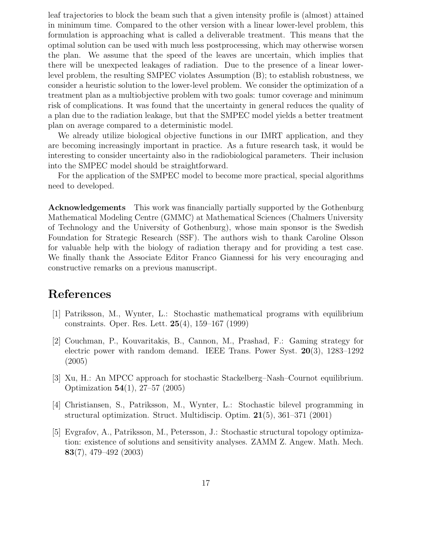leaf trajectories to block the beam such that a given intensity profile is (almost) attained in minimum time. Compared to the other version with a linear lower-level problem, this formulation is approaching what is called a deliverable treatment. This means that the optimal solution can be used with much less postprocessing, which may otherwise worsen the plan. We assume that the speed of the leaves are uncertain, which implies that there will be unexpected leakages of radiation. Due to the presence of a linear lowerlevel problem, the resulting SMPEC violates Assumption (B); to establish robustness, we consider a heuristic solution to the lower-level problem. We consider the optimization of a treatment plan as a multiobjective problem with two goals: tumor coverage and minimum risk of complications. It was found that the uncertainty in general reduces the quality of a plan due to the radiation leakage, but that the SMPEC model yields a better treatment plan on average compared to a deterministic model.

We already utilize biological objective functions in our IMRT application, and they are becoming increasingly important in practice. As a future research task, it would be interesting to consider uncertainty also in the radiobiological parameters. Their inclusion into the SMPEC model should be straightforward.

For the application of the SMPEC model to become more practical, special algorithms need to developed.

Acknowledgements This work was financially partially supported by the Gothenburg Mathematical Modeling Centre (GMMC) at Mathematical Sciences (Chalmers University of Technology and the University of Gothenburg), whose main sponsor is the Swedish Foundation for Strategic Research (SSF). The authors wish to thank Caroline Olsson for valuable help with the biology of radiation therapy and for providing a test case. We finally thank the Associate Editor Franco Giannessi for his very encouraging and constructive remarks on a previous manuscript.

### References

- [1] Patriksson, M., Wynter, L.: Stochastic mathematical programs with equilibrium constraints. Oper. Res. Lett. 25(4), 159–167 (1999)
- [2] Couchman, P., Kouvaritakis, B., Cannon, M., Prashad, F.: Gaming strategy for electric power with random demand. IEEE Trans. Power Syst. 20(3), 1283–1292 (2005)
- [3] Xu, H.: An MPCC approach for stochastic Stackelberg–Nash–Cournot equilibrium. Optimization 54(1), 27–57 (2005)
- [4] Christiansen, S., Patriksson, M., Wynter, L.: Stochastic bilevel programming in structural optimization. Struct. Multidiscip. Optim. 21(5), 361–371 (2001)
- [5] Evgrafov, A., Patriksson, M., Petersson, J.: Stochastic structural topology optimization: existence of solutions and sensitivity analyses. ZAMM Z. Angew. Math. Mech. 83(7), 479–492 (2003)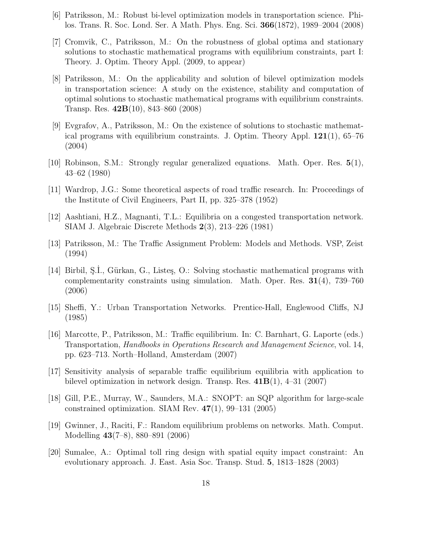- [6] Patriksson, M.: Robust bi-level optimization models in transportation science. Philos. Trans. R. Soc. Lond. Ser. A Math. Phys. Eng. Sci. 366(1872), 1989–2004 (2008)
- [7] Cromvik, C., Patriksson, M.: On the robustness of global optima and stationary solutions to stochastic mathematical programs with equilibrium constraints, part I: Theory. J. Optim. Theory Appl. (2009, to appear)
- [8] Patriksson, M.: On the applicability and solution of bilevel optimization models in transportation science: A study on the existence, stability and computation of optimal solutions to stochastic mathematical programs with equilibrium constraints. Transp. Res. 42B(10), 843–860 (2008)
- [9] Evgrafov, A., Patriksson, M.: On the existence of solutions to stochastic mathematical programs with equilibrium constraints. J. Optim. Theory Appl.  $121(1)$ , 65–76 (2004)
- [10] Robinson, S.M.: Strongly regular generalized equations. Math. Oper. Res. 5(1), 43–62 (1980)
- [11] Wardrop, J.G.: Some theoretical aspects of road traffic research. In: Proceedings of the Institute of Civil Engineers, Part II, pp. 325–378 (1952)
- [12] Aashtiani, H.Z., Magnanti, T.L.: Equilibria on a congested transportation network. SIAM J. Algebraic Discrete Methods 2(3), 213–226 (1981)
- [13] Patriksson, M.: The Traffic Assignment Problem: Models and Methods. VSP, Zeist (1994)
- [14] Birbil, S.I., Gürkan, G., Listes, O.: Solving stochastic mathematical programs with complementarity constraints using simulation. Math. Oper. Res. 31(4), 739–760 (2006)
- [15] Sheffi, Y.: Urban Transportation Networks. Prentice-Hall, Englewood Cliffs, NJ (1985)
- [16] Marcotte, P., Patriksson, M.: Traffic equilibrium. In: C. Barnhart, G. Laporte (eds.) Transportation, Handbooks in Operations Research and Management Science, vol. 14, pp. 623–713. North–Holland, Amsterdam (2007)
- [17] Sensitivity analysis of separable traffic equilibrium equilibria with application to bilevel optimization in network design. Transp. Res.  $41B(1)$ ,  $4-31$  (2007)
- [18] Gill, P.E., Murray, W., Saunders, M.A.: SNOPT: an SQP algorithm for large-scale constrained optimization. SIAM Rev.  $47(1)$ , 99–131 (2005)
- [19] Gwinner, J., Raciti, F.: Random equilibrium problems on networks. Math. Comput. Modelling 43(7–8), 880–891 (2006)
- [20] Sumalee, A.: Optimal toll ring design with spatial equity impact constraint: An evolutionary approach. J. East. Asia Soc. Transp. Stud. 5, 1813–1828 (2003)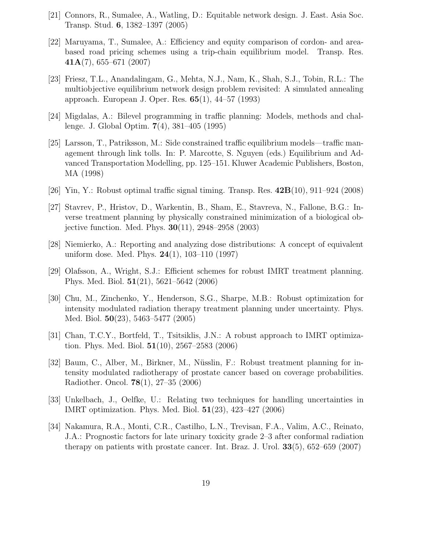- [21] Connors, R., Sumalee, A., Watling, D.: Equitable network design. J. East. Asia Soc. Transp. Stud. 6, 1382–1397 (2005)
- [22] Maruyama, T., Sumalee, A.: Efficiency and equity comparison of cordon- and areabased road pricing schemes using a trip-chain equilibrium model. Transp. Res. 41A(7), 655–671 (2007)
- [23] Friesz, T.L., Anandalingam, G., Mehta, N.J., Nam, K., Shah, S.J., Tobin, R.L.: The multiobjective equilibrium network design problem revisited: A simulated annealing approach. European J. Oper. Res. 65(1), 44–57 (1993)
- [24] Migdalas, A.: Bilevel programming in traffic planning: Models, methods and challenge. J. Global Optim. 7(4), 381–405 (1995)
- [25] Larsson, T., Patriksson, M.: Side constrained traffic equilibrium models—traffic management through link tolls. In: P. Marcotte, S. Nguyen (eds.) Equilibrium and Advanced Transportation Modelling, pp. 125–151. Kluwer Academic Publishers, Boston, MA (1998)
- [26] Yin, Y.: Robust optimal traffic signal timing. Transp. Res.  $42B(10)$ ,  $911-924$  (2008)
- [27] Stavrev, P., Hristov, D., Warkentin, B., Sham, E., Stavreva, N., Fallone, B.G.: Inverse treatment planning by physically constrained minimization of a biological objective function. Med. Phys. 30(11), 2948–2958 (2003)
- [28] Niemierko, A.: Reporting and analyzing dose distributions: A concept of equivalent uniform dose. Med. Phys. 24(1), 103–110 (1997)
- [29] Olafsson, A., Wright, S.J.: Efficient schemes for robust IMRT treatment planning. Phys. Med. Biol. 51(21), 5621–5642 (2006)
- [30] Chu, M., Zinchenko, Y., Henderson, S.G., Sharpe, M.B.: Robust optimization for intensity modulated radiation therapy treatment planning under uncertainty. Phys. Med. Biol. 50(23), 5463–5477 (2005)
- [31] Chan, T.C.Y., Bortfeld, T., Tsitsiklis, J.N.: A robust approach to IMRT optimization. Phys. Med. Biol. 51(10), 2567–2583 (2006)
- [32] Baum, C., Alber, M., Birkner, M., Nüsslin, F.: Robust treatment planning for intensity modulated radiotherapy of prostate cancer based on coverage probabilities. Radiother. Oncol. 78(1), 27–35 (2006)
- [33] Unkelbach, J., Oelfke, U.: Relating two techniques for handling uncertainties in IMRT optimization. Phys. Med. Biol. 51(23), 423–427 (2006)
- [34] Nakamura, R.A., Monti, C.R., Castilho, L.N., Trevisan, F.A., Valim, A.C., Reinato, J.A.: Prognostic factors for late urinary toxicity grade 2–3 after conformal radiation therapy on patients with prostate cancer. Int. Braz. J. Urol. 33(5), 652–659 (2007)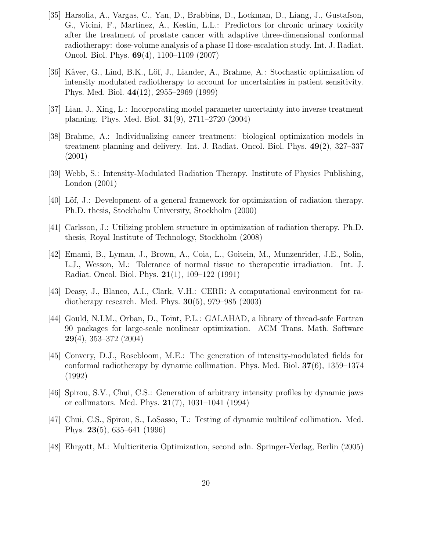- [35] Harsolia, A., Vargas, C., Yan, D., Brabbins, D., Lockman, D., Liang, J., Gustafson, G., Vicini, F., Martinez, A., Kestin, L.L.: Predictors for chronic urinary toxicity after the treatment of prostate cancer with adaptive three-dimensional conformal radiotherapy: dose-volume analysis of a phase II dose-escalation study. Int. J. Radiat. Oncol. Biol. Phys. 69(4), 1100–1109 (2007)
- [36] Kåver, G., Lind, B.K., Löf, J., Liander, A., Brahme, A.: Stochastic optimization of intensity modulated radiotherapy to account for uncertainties in patient sensitivity. Phys. Med. Biol. 44(12), 2955–2969 (1999)
- [37] Lian, J., Xing, L.: Incorporating model parameter uncertainty into inverse treatment planning. Phys. Med. Biol. 31(9), 2711–2720 (2004)
- [38] Brahme, A.: Individualizing cancer treatment: biological optimization models in treatment planning and delivery. Int. J. Radiat. Oncol. Biol. Phys. 49(2), 327–337 (2001)
- [39] Webb, S.: Intensity-Modulated Radiation Therapy. Institute of Physics Publishing, London (2001)
- [40] Löf, J.: Development of a general framework for optimization of radiation therapy. Ph.D. thesis, Stockholm University, Stockholm (2000)
- [41] Carlsson, J.: Utilizing problem structure in optimization of radiation therapy. Ph.D. thesis, Royal Institute of Technology, Stockholm (2008)
- [42] Emami, B., Lyman, J., Brown, A., Coia, L., Goitein, M., Munzenrider, J.E., Solin, L.J., Wesson, M.: Tolerance of normal tissue to therapeutic irradiation. Int. J. Radiat. Oncol. Biol. Phys. 21(1), 109–122 (1991)
- [43] Deasy, J., Blanco, A.I., Clark, V.H.: CERR: A computational environment for radiotherapy research. Med. Phys. 30(5), 979–985 (2003)
- [44] Gould, N.I.M., Orban, D., Toint, P.L.: GALAHAD, a library of thread-safe Fortran 90 packages for large-scale nonlinear optimization. ACM Trans. Math. Software 29(4), 353–372 (2004)
- [45] Convery, D.J., Rosebloom, M.E.: The generation of intensity-modulated fields for conformal radiotherapy by dynamic collimation. Phys. Med. Biol. 37(6), 1359–1374 (1992)
- [46] Spirou, S.V., Chui, C.S.: Generation of arbitrary intensity profiles by dynamic jaws or collimators. Med. Phys.  $21(7)$ , 1031–1041 (1994)
- [47] Chui, C.S., Spirou, S., LoSasso, T.: Testing of dynamic multileaf collimation. Med. Phys. 23(5), 635–641 (1996)
- [48] Ehrgott, M.: Multicriteria Optimization, second edn. Springer-Verlag, Berlin (2005)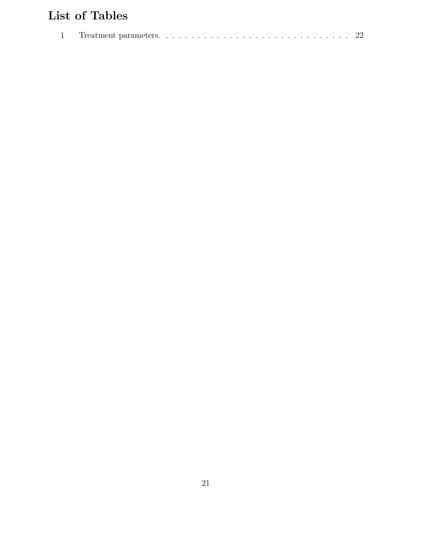## List of Tables

|  | 22 |
|--|----|
|--|----|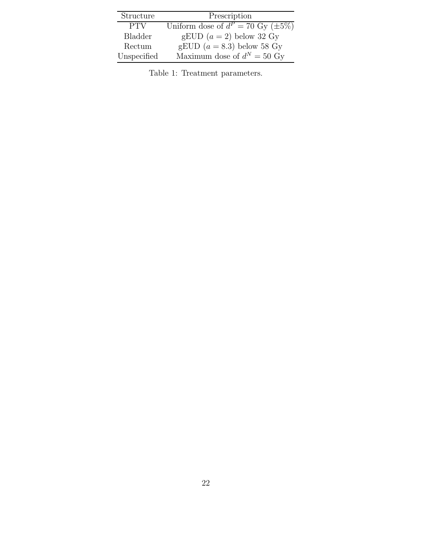| Structure      | Prescription                                |
|----------------|---------------------------------------------|
| <b>PTV</b>     | Uniform dose of $d^P = 70$ Gy ( $\pm 5\%$ ) |
| <b>Bladder</b> | gEUD $(a = 2)$ below 32 Gy                  |
| Rectum         | gEUD $(a = 8.3)$ below 58 Gy                |
| Unspecified    | Maximum dose of $d^N = 50$ Gy               |

Table 1: Treatment parameters.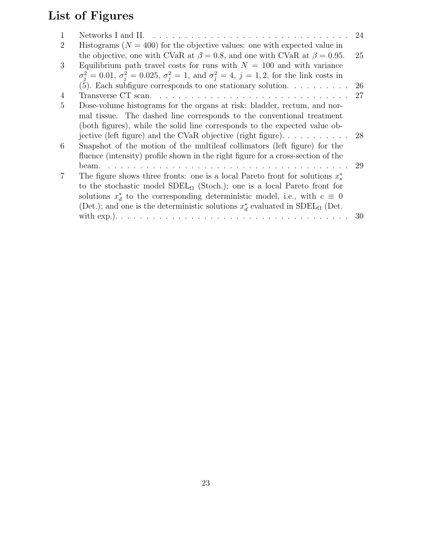# List of Figures

| 1              | Networks I and II. $\ldots$ , $\ldots$ , $\ldots$ , $\ldots$ , $\ldots$ , $\ldots$                                             | 24 |
|----------------|--------------------------------------------------------------------------------------------------------------------------------|----|
| $\overline{2}$ | Histograms ( $N = 400$ ) for the objective values: one with expected value in                                                  |    |
|                | the objective, one with CVaR at $\beta = 0.8$ , and one with CVaR at $\beta = 0.95$ .                                          | 25 |
| 3              | Equilibrium path travel costs for runs with $N = 100$ and with variance                                                        |    |
|                | $\sigma_i^2 = 0.01$ , $\sigma_i^2 = 0.025$ , $\sigma_i^2 = 1$ , and $\sigma_i^2 = 4$ , $j = 1, 2$ , for the link costs in      |    |
|                | $(5)$ . Each subfigure corresponds to one stationary solution.                                                                 | 26 |
| 4              |                                                                                                                                | 27 |
| 5              | Dose-volume histograms for the organs at risk: bladder, rectum, and nor-                                                       |    |
|                | mal tissue. The dashed line corresponds to the conventional treatment                                                          |    |
|                | (both figures), while the solid line corresponds to the expected value ob-                                                     |    |
|                | jective (left figure) and the CVaR objective (right figure). $\dots \dots \dots$                                               | 28 |
| 6              | Snapshot of the motion of the multileaf collimators (left figure) for the                                                      |    |
|                | fluence (intensity) profile shown in the right figure for a cross-section of the                                               |    |
|                | beam.<br><u>. A series and a series and a series and a series and a series and a series and a series and a series and a se</u> | 29 |
| 7              | The figure shows three fronts: one is a local Pareto front for solutions $x^*$                                                 |    |
|                | to the stochastic model $SDEL_{\Omega}$ (Stoch.); one is a local Pareto front for                                              |    |
|                | solutions $x_d^*$ to the corresponding deterministic model, i.e., with $c \equiv 0$                                            |    |
|                | (Det.); and one is the deterministic solutions $x_d^*$ evaluated in SDEL <sub>Q</sub> (Det.                                    |    |
|                |                                                                                                                                | 30 |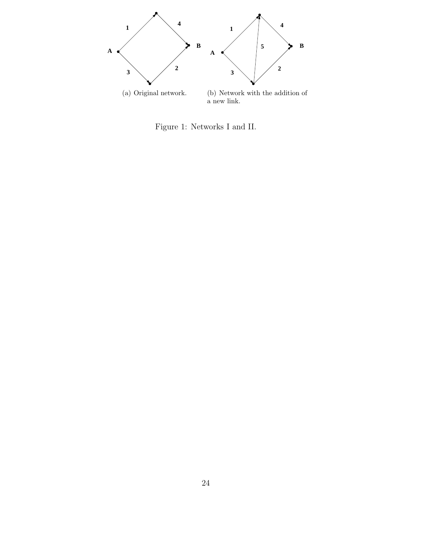

Figure 1: Networks I and II.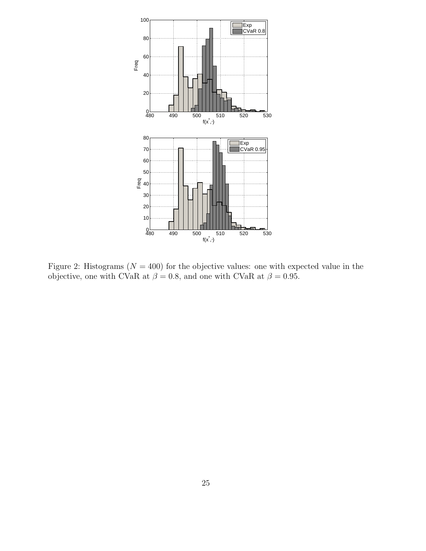

Figure 2: Histograms ( $N = 400$ ) for the objective values: one with expected value in the objective, one with CVaR at  $\beta = 0.8$ , and one with CVaR at  $\beta = 0.95$ .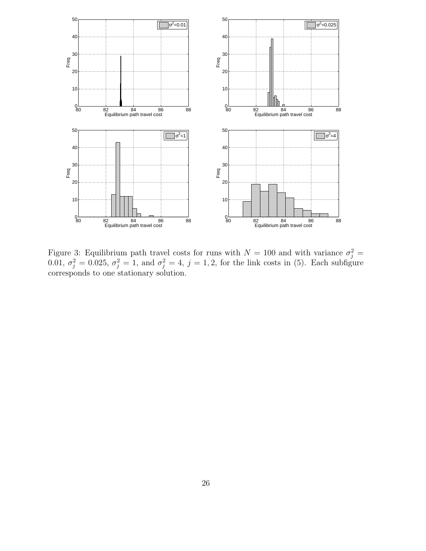

Figure 3: Equilibrium path travel costs for runs with  $N = 100$  and with variance  $\sigma_j^2 =$ 0.01,  $\sigma_j^2 = 0.025$ ,  $\sigma_j^2 = 1$ , and  $\sigma_j^2 = 4$ ,  $j = 1, 2$ , for the link costs in (5). Each subfigure corresponds to one stationary solution.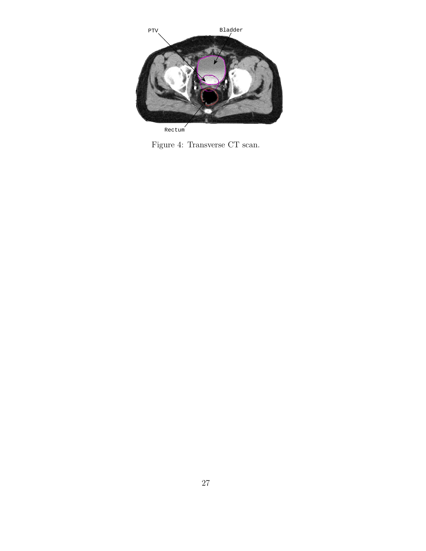

Figure 4: Transverse CT scan.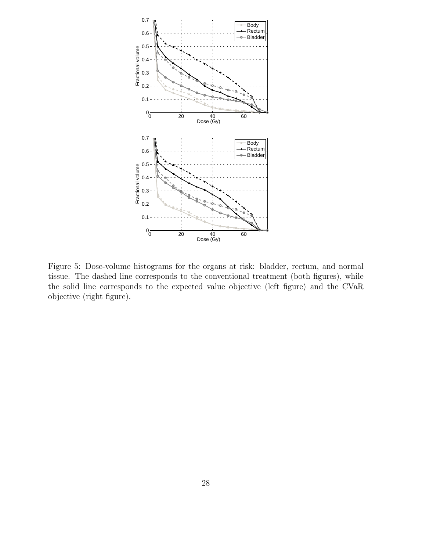

Figure 5: Dose-volume histograms for the organs at risk: bladder, rectum, and normal tissue. The dashed line corresponds to the conventional treatment (both figures), while the solid line corresponds to the expected value objective (left figure) and the CVaR objective (right figure).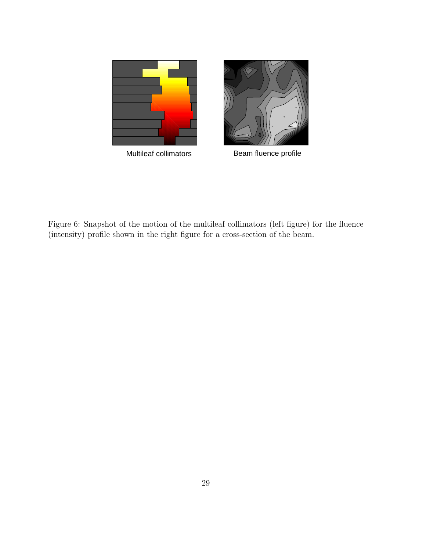



Multileaf collimators **Beam fluence profile** 

Figure 6: Snapshot of the motion of the multileaf collimators (left figure) for the fluence (intensity) profile shown in the right figure for a cross-section of the beam.